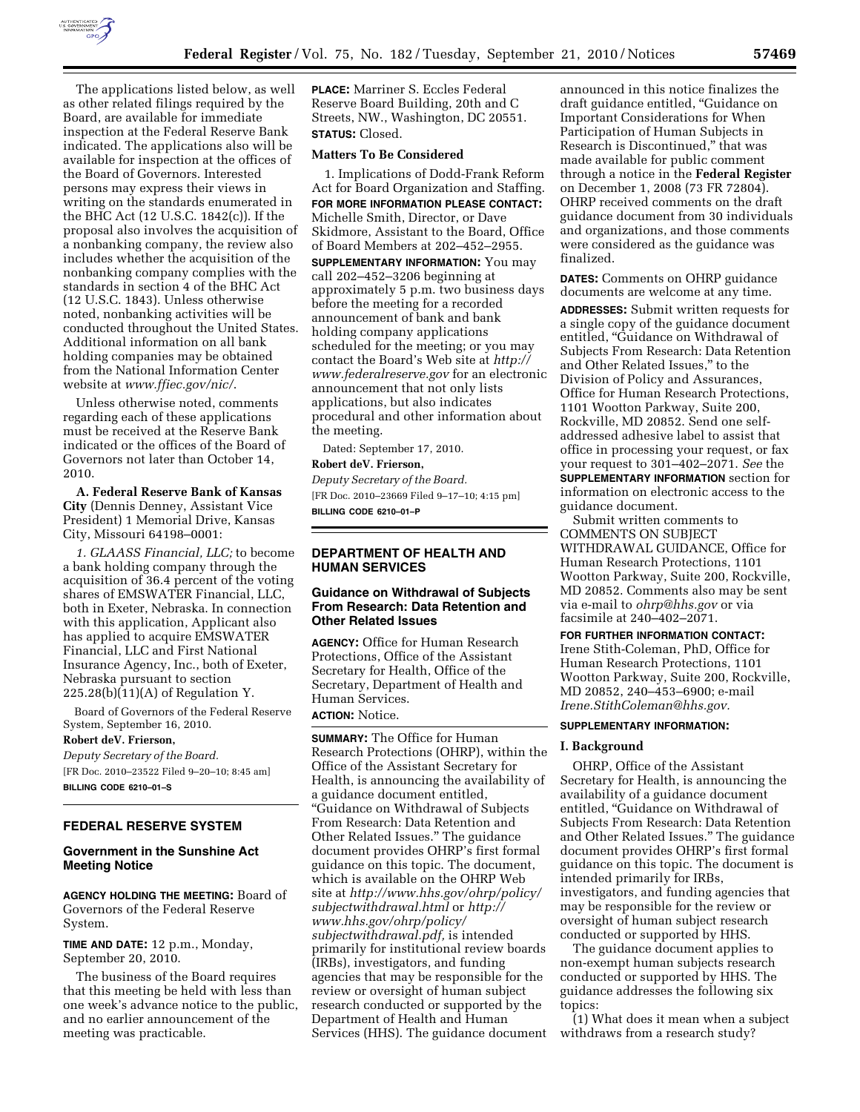

The applications listed below, as well as other related filings required by the Board, are available for immediate inspection at the Federal Reserve Bank indicated. The applications also will be available for inspection at the offices of the Board of Governors. Interested persons may express their views in writing on the standards enumerated in the BHC Act (12 U.S.C. 1842(c)). If the proposal also involves the acquisition of a nonbanking company, the review also includes whether the acquisition of the nonbanking company complies with the standards in section 4 of the BHC Act (12 U.S.C. 1843). Unless otherwise noted, nonbanking activities will be conducted throughout the United States. Additional information on all bank holding companies may be obtained from the National Information Center website at *[www.ffiec.gov/nic/](http://www.ffiec.gov/nic/)*.

Unless otherwise noted, comments regarding each of these applications must be received at the Reserve Bank indicated or the offices of the Board of Governors not later than October 14, 2010.

**A. Federal Reserve Bank of Kansas City** (Dennis Denney, Assistant Vice President) 1 Memorial Drive, Kansas City, Missouri 64198–0001:

*1. GLAASS Financial, LLC;* to become a bank holding company through the acquisition of 36.4 percent of the voting shares of EMSWATER Financial, LLC, both in Exeter, Nebraska. In connection with this application, Applicant also has applied to acquire EMSWATER Financial, LLC and First National Insurance Agency, Inc., both of Exeter, Nebraska pursuant to section 225.28(b)(11)(A) of Regulation Y.

Board of Governors of the Federal Reserve System, September 16, 2010.

**Robert deV. Frierson,**  *Deputy Secretary of the Board.*  [FR Doc. 2010–23522 Filed 9–20–10; 8:45 am] **BILLING CODE 6210–01–S** 

### **FEDERAL RESERVE SYSTEM**

### **Government in the Sunshine Act Meeting Notice**

**AGENCY HOLDING THE MEETING:** Board of Governors of the Federal Reserve System.

**TIME AND DATE:** 12 p.m., Monday, September 20, 2010.

The business of the Board requires that this meeting be held with less than one week's advance notice to the public, and no earlier announcement of the meeting was practicable.

**PLACE:** Marriner S. Eccles Federal Reserve Board Building, 20th and C Streets, NW., Washington, DC 20551. **STATUS:** Closed.

### **Matters To Be Considered**

1. Implications of Dodd-Frank Reform Act for Board Organization and Staffing. **FOR MORE INFORMATION PLEASE CONTACT:**  Michelle Smith, Director, or Dave Skidmore, Assistant to the Board, Office of Board Members at 202–452–2955. **SUPPLEMENTARY INFORMATION:** You may call 202–452–3206 beginning at approximately 5 p.m. two business days before the meeting for a recorded announcement of bank and bank holding company applications scheduled for the meeting; or you may contact the Board's Web site at *[http://](http://www.federalreserve.gov)  [www.federalreserve.gov](http://www.federalreserve.gov)* for an electronic announcement that not only lists applications, but also indicates procedural and other information about the meeting.

Dated: September 17, 2010.

**Robert deV. Frierson,** 

*Deputy Secretary of the Board.*  [FR Doc. 2010–23669 Filed 9–17–10; 4:15 pm] **BILLING CODE 6210–01–P** 

# **DEPARTMENT OF HEALTH AND HUMAN SERVICES**

# **Guidance on Withdrawal of Subjects From Research: Data Retention and Other Related Issues**

**AGENCY:** Office for Human Research Protections, Office of the Assistant Secretary for Health, Office of the Secretary, Department of Health and Human Services.

# **ACTION:** Notice.

**SUMMARY:** The Office for Human Research Protections (OHRP), within the Office of the Assistant Secretary for Health, is announcing the availability of a guidance document entitled, ''Guidance on Withdrawal of Subjects From Research: Data Retention and Other Related Issues.'' The guidance document provides OHRP's first formal guidance on this topic. The document, which is available on the OHRP Web site at *[http://www.hhs.gov/ohrp/policy/](http://www.hhs.gov/ohrp/policy/subjectwithdrawal.html) [subjectwithdrawal.html](http://www.hhs.gov/ohrp/policy/subjectwithdrawal.html)* or *[http://](http://www.hhs.gov/ohrp/policy/subjectwithdrawal.pdf)  [www.hhs.gov/ohrp/policy/](http://www.hhs.gov/ohrp/policy/subjectwithdrawal.pdf) [subjectwithdrawal.pdf,](http://www.hhs.gov/ohrp/policy/subjectwithdrawal.pdf)* is intended primarily for institutional review boards (IRBs), investigators, and funding agencies that may be responsible for the review or oversight of human subject research conducted or supported by the Department of Health and Human Services (HHS). The guidance document

announced in this notice finalizes the draft guidance entitled, ''Guidance on Important Considerations for When Participation of Human Subjects in Research is Discontinued,'' that was made available for public comment through a notice in the **Federal Register**  on December 1, 2008 (73 FR 72804). OHRP received comments on the draft guidance document from 30 individuals and organizations, and those comments were considered as the guidance was finalized.

**DATES:** Comments on OHRP guidance documents are welcome at any time.

**ADDRESSES:** Submit written requests for a single copy of the guidance document entitled, ''Guidance on Withdrawal of Subjects From Research: Data Retention and Other Related Issues,'' to the Division of Policy and Assurances, Office for Human Research Protections, 1101 Wootton Parkway, Suite 200, Rockville, MD 20852. Send one selfaddressed adhesive label to assist that office in processing your request, or fax your request to 301–402–2071. *See* the **SUPPLEMENTARY INFORMATION** section for information on electronic access to the guidance document.

Submit written comments to COMMENTS ON SUBJECT WITHDRAWAL GUIDANCE, Office for Human Research Protections, 1101 Wootton Parkway, Suite 200, Rockville, MD 20852. Comments also may be sent via e-mail to *[ohrp@hhs.gov](mailto:ohrp@hhs.gov)* or via facsimile at 240–402–2071.

### **FOR FURTHER INFORMATION CONTACT:**

Irene Stith-Coleman, PhD, Office for Human Research Protections, 1101 Wootton Parkway, Suite 200, Rockville, MD 20852, 240–453–6900; e-mail *[Irene.StithColeman@hhs.gov.](mailto:Irene.StithColeman@hhs.gov)* 

#### **SUPPLEMENTARY INFORMATION:**

#### **I. Background**

OHRP, Office of the Assistant Secretary for Health, is announcing the availability of a guidance document entitled, ''Guidance on Withdrawal of Subjects From Research: Data Retention and Other Related Issues.'' The guidance document provides OHRP's first formal guidance on this topic. The document is intended primarily for IRBs, investigators, and funding agencies that may be responsible for the review or oversight of human subject research conducted or supported by HHS.

The guidance document applies to non-exempt human subjects research conducted or supported by HHS. The guidance addresses the following six topics:

(1) What does it mean when a subject withdraws from a research study?